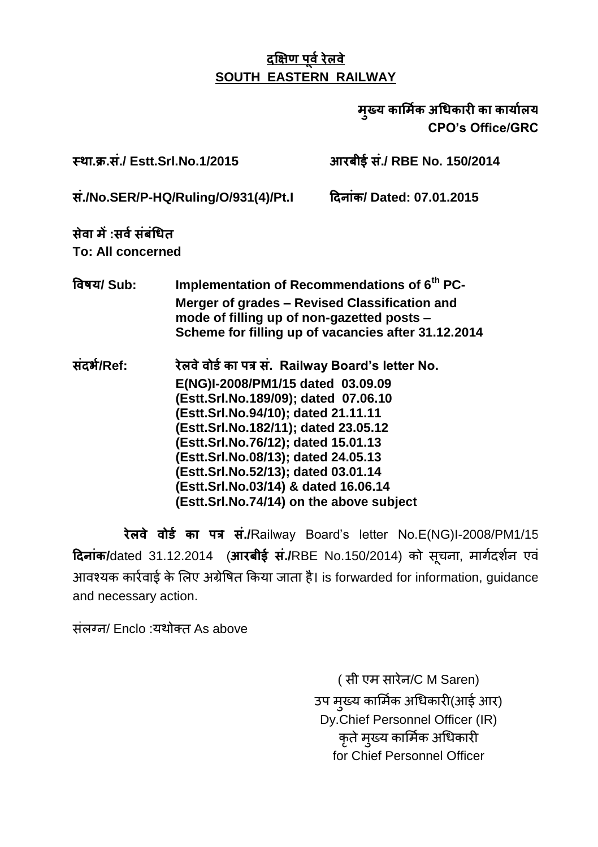मख्य कार्मिक अधिकारी का कार्यालय **CPO's Office/GRC**

 **. . ./ Estt.Srl.No.1/2015 ./ RBE No. 150/2014** 

 **./No.SER/P-HQ/Ruling/O/931(4)/Pt.I / Dated: 07.01.2015**

 **: To: All concerned**

 **/ Sub: Implementation of Recommendations of 6th PC-Merger of grades – Revised Classification and mode of filling up of non-gazetted posts – Scheme for filling up of vacancies after 31.12.2014**

 **/Ref: . Railway Board's letter No. E(NG)I-2008/PM1/15 dated 03.09.09 (Estt.Srl.No.189/09); dated 07.06.10 (Estt.Srl.No.94/10); dated 21.11.11 (Estt.Srl.No.182/11); dated 23.05.12 (Estt.Srl.No.76/12); dated 15.01.13 (Estt.Srl.No.08/13); dated 24.05.13 (Estt.Srl.No.52/13); dated 03.01.14 (Estt.Srl.No.03/14) & dated 16.06.14 (Estt.Srl.No.74/14) on the above subject**

 **./**Railway Board"s letter No.E(NG)I-2008/PM1/15 **दिनांक/**dated 31.12.2014 (आरबीई सं./RBE No.150/2014) को सचना, मार्गदर्शन एवं आवश्यक कार्रवाई के लिए अग्रेषित किया जाता है। is forwarded for information, guidance and necessary action.

संलग्न/ Enclo :यथोक्त As above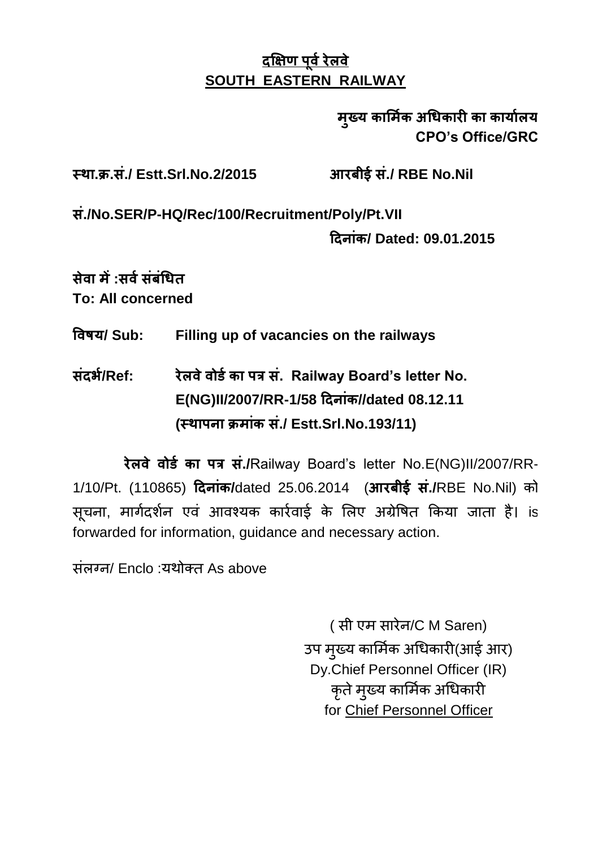### मुख्य कार्मिक अधिकारी का कार्यालय **CPO's Office/GRC**

 **. . ./ Estt.Srl.No.2/2015 ./ RBE No.Nil** 

 **./No.SER/P-HQ/Rec/100/Recruitment/Poly/Pt.VII** 

 **/ Dated: 09.01.2015**

 **: To: All concerned**

 **/ Sub: Filling up of vacancies on the railways**

 **/Ref: . Railway Board's letter No. E(NG)II/2007/RR-1/58 //dated 08.12.11 ( ./ Estt.Srl.No.193/11)**

रेलवे वोर्ड का पत्र सं./Railway Board's letter No.E(NG)II/2007/RR-1/10/Pt. (110865) दिनांक/dated 25.06.2014 (आरबीई सं./RBE No.Nil) को सूचना, मार्गदर्शन एवं आवश्यक कार्रवाई के लिए अग्रेषित किया जाता है। is forwarded for information, guidance and necessary action.

संलग्न/ Enclo :यथोक्त As above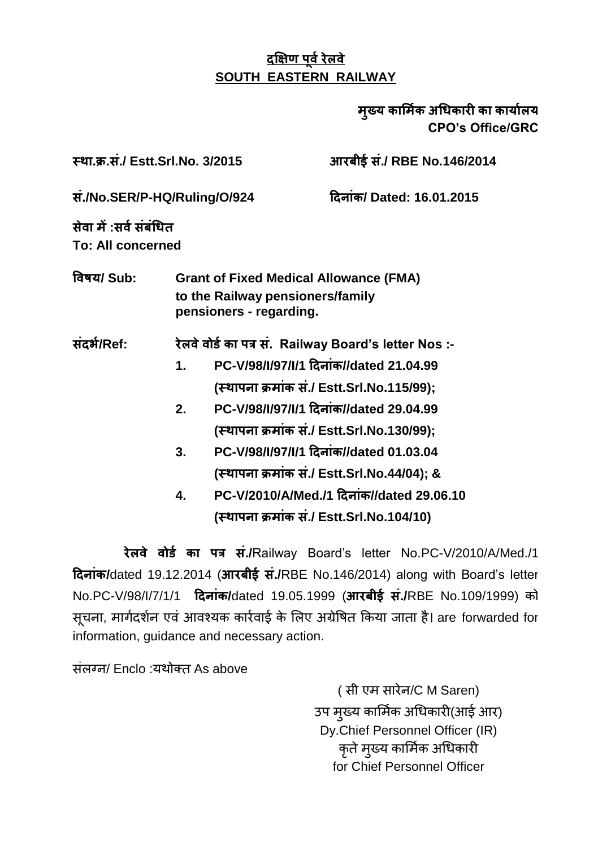#### मख्य कार्मिक अधिकारी का कार्यालय **CPO's Office/GRC**

 **. . ./ Estt.Srl.No. 3/2015 ./ RBE No.146/2014** 

 **./No.SER/P-HQ/Ruling/O/924 / Dated: 16.01.2015**

 **: To: All concerned**

 **/ Sub: Grant of Fixed Medical Allowance (FMA) to the Railway pensioners/family pensioners - regarding.**

 **/Ref: . Railway Board's letter Nos :-**

- 1. **PC-V/98/I/97/I/1 दिनांक//dated 21.04.99 ( ./ Estt.Srl.No.115/99);**
- 2. **PC-V/98/I/97/I/1 दिनांक//dated 29.04.99 ( ./ Estt.Srl.No.130/99);**
- **3. PC-V/98/I/97/I/1 //dated 01.03.04 ( ./ Estt.Srl.No.44/04); &**
- **4. PC-V/2010/A/Med./1 //dated 29.06.10 ( ./ Estt.Srl.No.104/10)**

रेलवे वोर्ड का पत्र सं./Railway Board's letter No.PC-V/2010/A/Med./1  **/**dated 19.12.2014 ( **./**RBE No.146/2014) along with Board"s letter No.PC-V/98/I/7/1/1 **/**dated 19.05.1999 ( **./**RBE No.109/1999) सचना, मार्गदर्शन एवं आवश्यक कार्रवाई के लिए अग्रेषित किया जाता है। are forwarded for information, guidance and necessary action.

ਸ਼ੰਕਾਰਜ/ Enclo : ਪਈਕੌਰ As above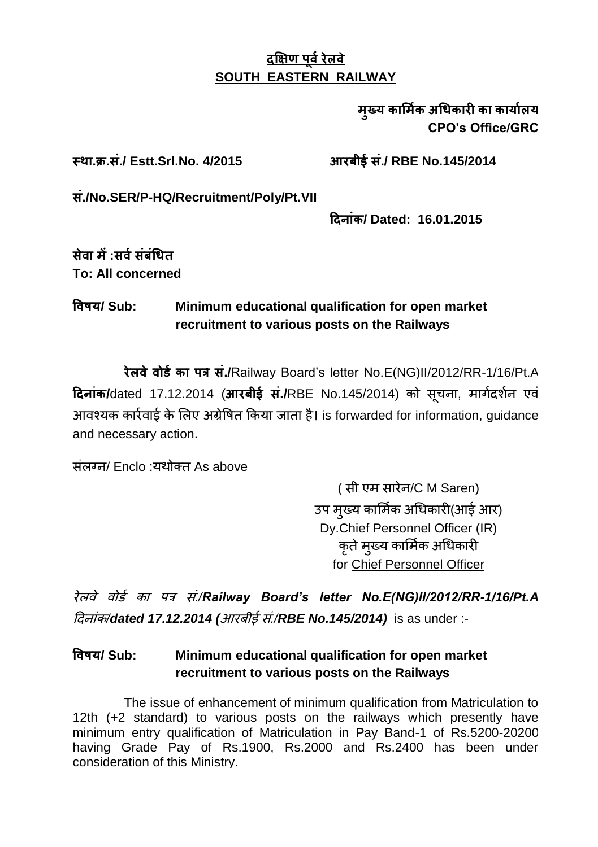मख्य कार्मिक अधिकारी का कार्यालय **CPO's Office/GRC**

 **. . ./ Estt.Srl.No. 4/2015 ./ RBE No.145/2014** 

 **./No.SER/P-HQ/Recruitment/Poly/Pt.VII** 

 **/ Dated: 16.01.2015**

 **: To: All concerned**

#### **/ Sub: Minimum educational qualification for open market recruitment to various posts on the Railways**

रेलवे वोर्ड का पत्र सं./Railway Board's letter No.E(NG)II/2012/RR-1/16/Pt.A **दिनांक/**dated 17.12.2014 (आरबीई सं./RBE No.145/2014) को सचना, मार्गदर्शन एवं आवश्यक कार्रवाई के लिए अग्रेषित किया जाता है। is forwarded for information, quidance and necessary action.

ਸ਼ੰਕਰਜ਼/ Enclo :ਧੁੰਘੇਰਜ਼ As above

(सी एम सारेन/C M Saren) उप मख्य कार्मिक अधिकारी(आई आर) Dy.Chief Personnel Officer (IR) कृते मृख्य कार्मिक अधिकारी for Chief Personnel Officer

 *./Railway Board's letter No.E(NG)II/2012/RR-1/16/Pt.A /dated 17.12.2014 ( ./RBE No.145/2014)* is as under :-

#### **/ Sub: Minimum educational qualification for open market recruitment to various posts on the Railways**

The issue of enhancement of minimum qualification from Matriculation to 12th (+2 standard) to various posts on the railways which presently have minimum entry qualification of Matriculation in Pay Band-1 of Rs.5200-20200 having Grade Pay of Rs.1900, Rs.2000 and Rs.2400 has been under consideration of this Ministry.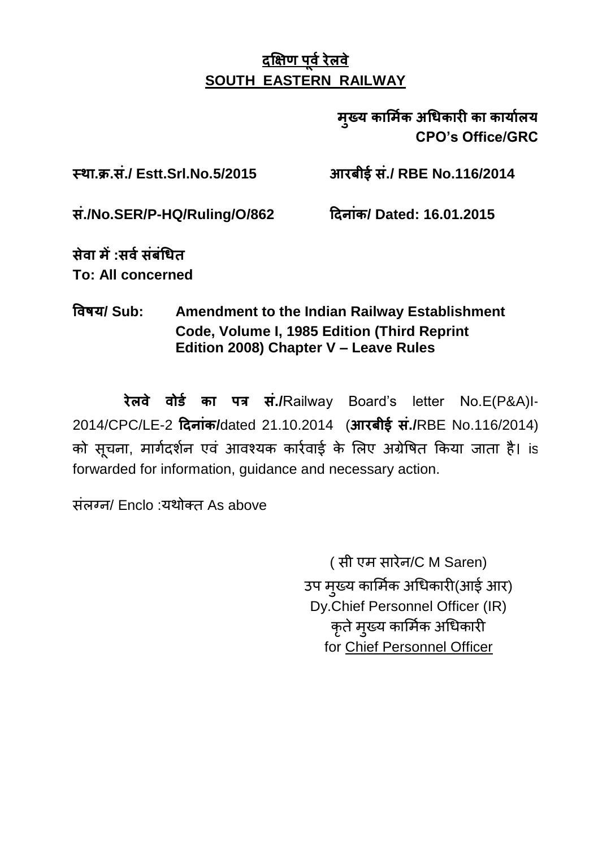मृख्य कार्मिक अधिकारी का कार्यालय **CPO's Office/GRC**

 **. . ./ Estt.Srl.No.5/2015 ./ RBE No.116/2014** 

 **./No.SER/P-HQ/Ruling/O/862 / Dated: 16.01.2015**

 **: To: All concerned**

 **/ Sub: Amendment to the Indian Railway Establishment Code, Volume I, 1985 Edition (Third Reprint Edition 2008) Chapter V – Leave Rules**

रेलवे वोर्ड का पत्र सं./Railway Board's letter No.E(P&A)I-2014/CPC/LE-2 **/**dated 21.10.2014 ( **./**RBE No.116/2014) को सूचना, मार्गदर्शन एवं आवश्यक कार्रवाई के लिए अग्रेषित किया जाता है। is forwarded for information, guidance and necessary action.

ਸ਼ੰਕਰਜ਼/ Enclo :ਧੁੰਘੇਰਜ਼ As above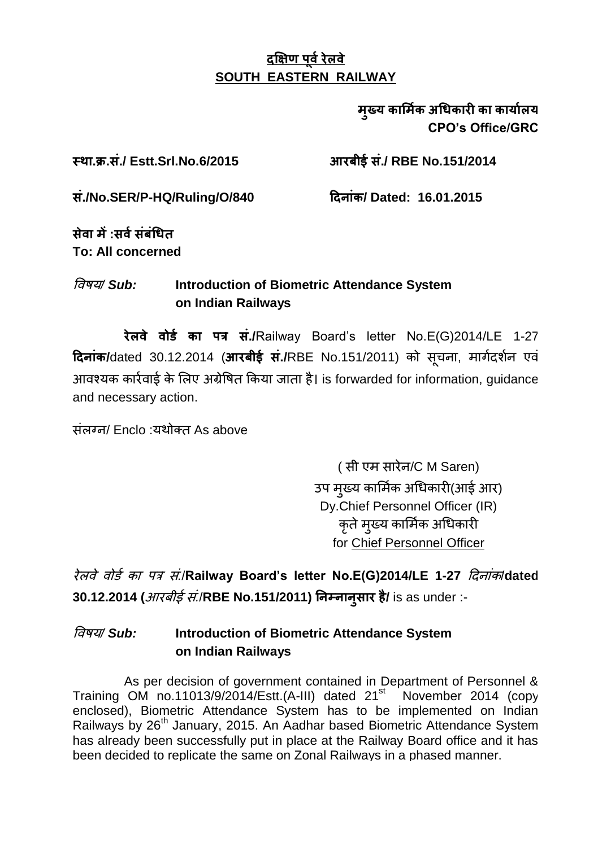#### मख्य कार्मिक अधिकारी का कार्यालय **CPO's Office/GRC**

#### **. . ./ Estt.Srl.No.6/2015 ./ RBE No.151/2014**

 **./No.SER/P-HQ/Ruling/O/840 / Dated: 16.01.2015**

 **: To: All concerned**

#### */ Sub:* **Introduction of Biometric Attendance System on Indian Railways**

रेलवे वोर्ड का पत्र सं./Railway Board's letter No.E(G)2014/LE 1-27 **दिनांक/**dated 30.12.2014 (आरबीर्ड सं./RBE No.151/2011) को सचना, मार्गदर्शन एवं आवश्यक कार्रवाई के लिए अग्रेषित किया जाता है। is forwarded for information, quidance and necessary action.

ਸ਼ੋਕਾਰ / Enclo : ਪਈ ਕੌਰ As above

(सी एम सारेन/C M Saren) उप मख्य कार्मिक अधिकारी(आई आर) Dy.Chief Personnel Officer (IR) कृते मृख्य कार्मिक अधिकारी for Chief Personnel Officer

रेलवे वोर्ड का पत्र सं/Railway Board's letter No.E(G)2014/LE 1-27 *दिनांक*/dated 30.12.2014 (*आरबीई सं*./RBE No.151/2011) निम्नान्**सार है/** is as under :-

#### */ Sub:* **Introduction of Biometric Attendance System on Indian Railways**

As per decision of government contained in Department of Personnel & Training OM no.11013/9/2014/Estt.(A-III) dated 21<sup>st</sup> November 2014 (copy enclosed), Biometric Attendance System has to be implemented on Indian Railways by 26th January, 2015. An Aadhar based Biometric Attendance System has already been successfully put in place at the Railway Board office and it has been decided to replicate the same on Zonal Railways in a phased manner.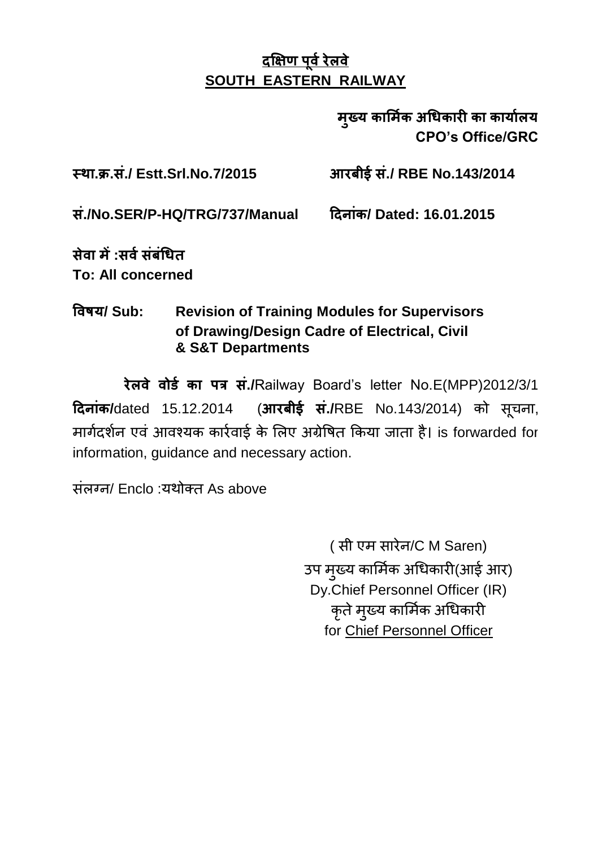मुख्य कार्मिक अधिकारी का कार्यालय **CPO's Office/GRC**

 **. . ./ Estt.Srl.No.7/2015 ./ RBE No.143/2014** 

 **./No.SER/P-HQ/TRG/737/Manual / Dated: 16.01.2015**

 **: To: All concerned**

### **/ Sub: Revision of Training Modules for Supervisors of Drawing/Design Cadre of Electrical, Civil & S&T Departments**

 **./**Railway Board"s letter No.E(MPP)2012/3/1 **दिनांक/**dated 15.12.2014 (आरबीई सं./RBE No.143/2014) को सूचना, मार्गदर्शन एवं आवश्यक कार्रवाई के लिए अग्रेषित किया जाता है। is forwarded for information, guidance and necessary action.

ਸ਼ਂਕਰਜ/ Enclo :ਧੁੰਬੀਕਰ As above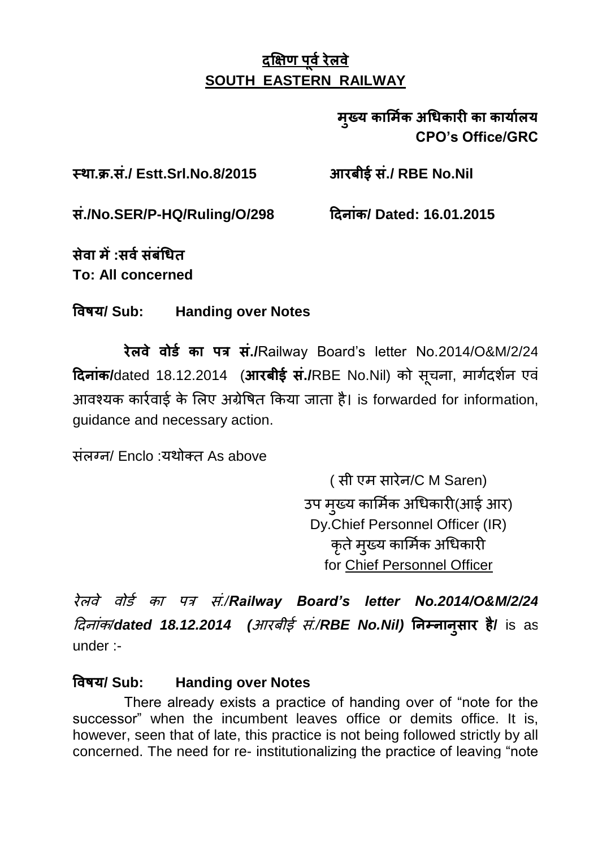### मुख्य कार्मिक अधिकारी का कार्यालय **CPO's Office/GRC**

 **. . ./ Estt.Srl.No.8/2015 ./ RBE No.Nil** 

 **./No.SER/P-HQ/Ruling/O/298 / Dated: 16.01.2015**

 **: To: All concerned**

 **/ Sub: Handing over Notes**

रेलवे वोर्ड का पत्र सं./Railway Board's letter No.2014/O&M/2/24 **दिनांक/**dated 18.12.2014 (आरबीई सं./RBE No.Nil) को सचना, मार्गदर्शन एवं आवश्यक कार्रवार्ड के लिए अंग्रेषित किया जाता है। is forwarded for information, guidance and necessary action.

ਸ਼ਾਂਕਰਜ਼/ Enclo ·ਬਪੀਕਾਰ As above

(सी एम सारेन/C M Saren) उप मख्य कार्मिक अधिकारी(आई आर) Dy.Chief Personnel Officer (IR) कृते मृख्य कार्मिक अधिकारी for Chief Personnel Officer

 *./Railway Board's letter No.2014/O&M/2/24 दिनांक/dated 18.12.2014 (आरबीई सं./RBE No.Nil) निम्नानुसार है/ is as* under :-

#### **/ Sub: Handing over Notes**

There already exists a practice of handing over of "note for the successor" when the incumbent leaves office or demits office. It is, however, seen that of late, this practice is not being followed strictly by all concerned. The need for re- institutionalizing the practice of leaving "note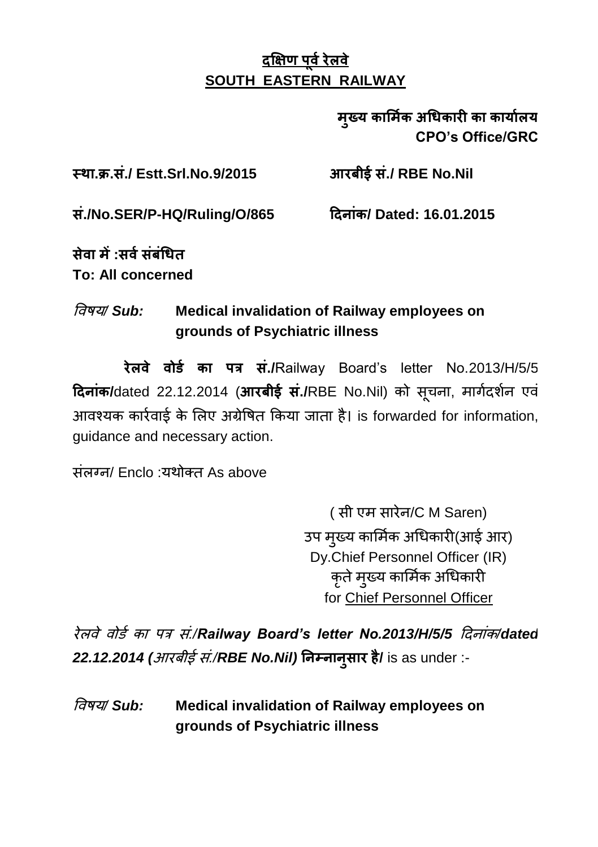### मुख्य कार्मिक अधिकारी का कार्यालय **CPO's Office/GRC**

 **. . ./ Estt.Srl.No.9/2015 ./ RBE No.Nil** 

 **./No.SER/P-HQ/Ruling/O/865 / Dated: 16.01.2015**

 **: To: All concerned**

## */ Sub:* **Medical invalidation of Railway employees on grounds of Psychiatric illness**

रेलवे वोर्ड का पत्र सं./Railway Board's letter No.2013/H/5/5 **दिनांक/**dated 22.12.2014 (आरबीई सं./RBE No.Nil) को सचना, मार्गदर्शन एवं आवश्यक कार्रवाई के लिए अग्रेषित किया जाता है। is forwarded for information, guidance and necessary action.

संलग्न/ Enclo :यथोक्त As above

(सी एम सारेन/C M Saren) उप मुख्य कार्मिक अधिकारी(आई आर) Dy.Chief Personnel Officer (IR) कृते मुख्य कार्मिक अधिकारी for Chief Personnel Officer

 *./Railway Board's letter No.2013/H/5/5 /dated 22.12.2014 ( ./RBE No.Nil)* **/** is as under :-

 */ Sub:* **Medical invalidation of Railway employees on grounds of Psychiatric illness**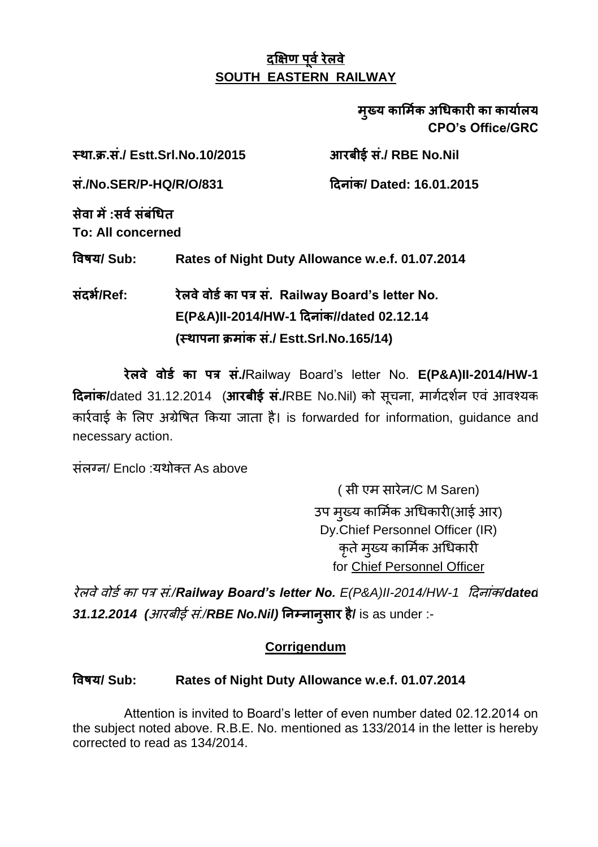मख्य कार्मिक अधिकारी का कार्यालय **CPO's Office/GRC**

 **. . ./ Estt.Srl.No.10/2015 ./ RBE No.Nil ./No.SER/P-HQ/R/O/831 / Dated: 16.01.2015 : To: All concerned / Sub: Rates of Night Duty Allowance w.e.f. 01.07.2014 /Ref: . Railway Board's letter No.**  $E(P&A)II-2014/HW-1$  दिनांक//dated 02.12.14 **( ./ Estt.Srl.No.165/14)**

 **./**Railway Board"s letter No. **E(P&A)II-2014/HW-1 दिनांक/**dated 31.12.2014 (आरबीई सं./RBE No.Nil) को सूचना, मार्गदर्शन एवं आवश्यक कार्रवाई के लिए अग्रेषित किया जाता है। is forwarded for information, guidance and necessary action.

ਸ਼ੰਕਾਰਜ/ Enclo :ਧੁੰਬੀਕਰ As above

(सी एम सारेन/C M Saren) उप मख्य कार्मिक अधिकारी(आई आर) Dy.Chief Personnel Officer (IR) कृते मृख्य कार्मिक अधिकारी for Chief Personnel Officer

 *./Railway Board's letter No. E(P&A)II-2014/HW-1 /dated 31.12.2014 ( ./RBE No.Nil)* **/** is as under :-

#### **Corrigendum**

#### **/ Sub: Rates of Night Duty Allowance w.e.f. 01.07.2014**

Attention is invited to Board"s letter of even number dated 02.12.2014 on the subject noted above. R.B.E. No. mentioned as 133/2014 in the letter is hereby corrected to read as 134/2014.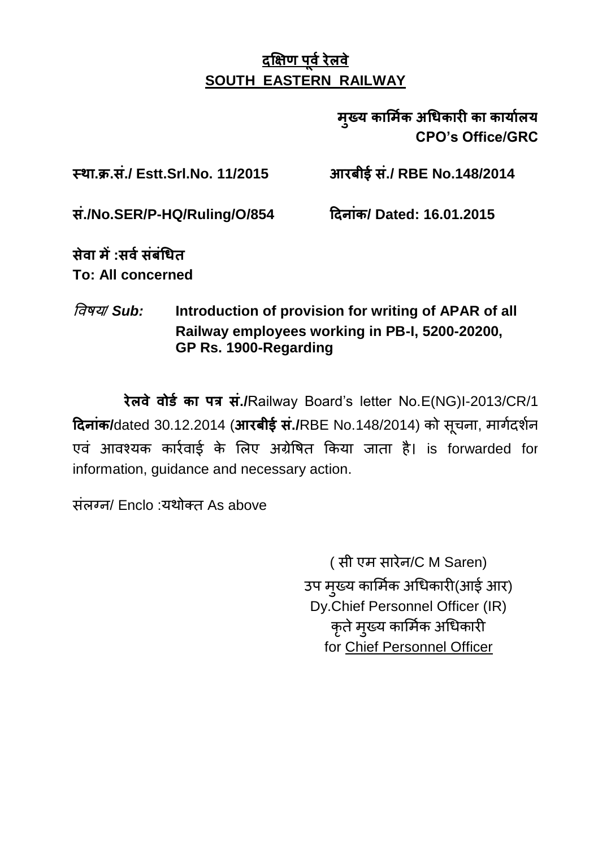मृख्य कार्मिक अधिकारी का कार्यालय **CPO's Office/GRC**

 **. . ./ Estt.Srl.No. 11/2015 ./ RBE No.148/2014** 

 **./No.SER/P-HQ/Ruling/O/854 / Dated: 16.01.2015**

 **: To: All concerned**

 */ Sub:* **Introduction of provision for writing of APAR of all Railway employees working in PB-I, 5200-20200, GP Rs. 1900-Regarding**

 **./**Railway Board"s letter No.E(NG)I-2013/CR/1 **दिनांक/**dated 30.12.2014 (आरबीई सं./RBE No.148/2014) को सूचना, मार्गदर्शन एवं आवश्यक कार्रवाई के लिए अग्रेषित किया जाता है। is forwarded for information, guidance and necessary action.

ਸ਼ੰਕਰਜ਼/ Enclo :ਧੁੰਘੇਰਜ਼ As above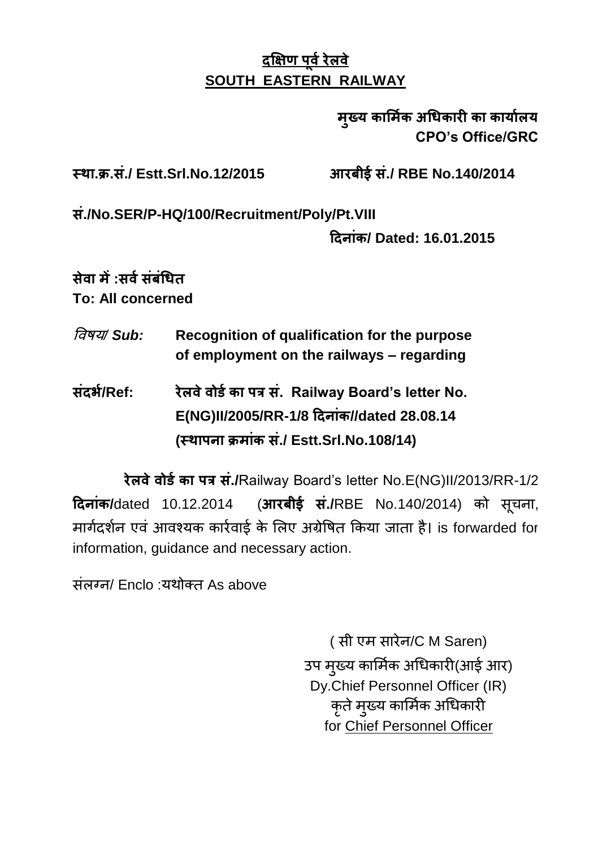### मुख्य कार्मिक अधिकारी का कार्यालय **CPO's Office/GRC**

 **. . ./ Estt.Srl.No.12/2015 ./ RBE No.140/2014** 

 **./No.SER/P-HQ/100/Recruitment/Poly/Pt.VIII** 

 **/ Dated: 16.01.2015**

 **: To: All concerned**

- */ Sub:* **Recognition of qualification for the purpose of employment on the railways – regarding**
- **/Ref: . Railway Board's letter No. E(NG)II/2005/RR-1/8 //dated 28.08.14 ( ./ Estt.Srl.No.108/14)**

 **./**Railway Board"s letter No.E(NG)II/2013/RR-1/2 **दिनांक/**dated 10.12.2014 (आरबीई सं./RBE No.140/2014) को सचना, मार्गदर्शन एवं आवश्यक कार्रवार्ड के लिए अंग्रेषित किया जाता है। is forwarded for information, guidance and necessary action.

ਸ਼ਂਕਰਜ਼/ Enclo :ਧੁੰਬੀਕਰ As above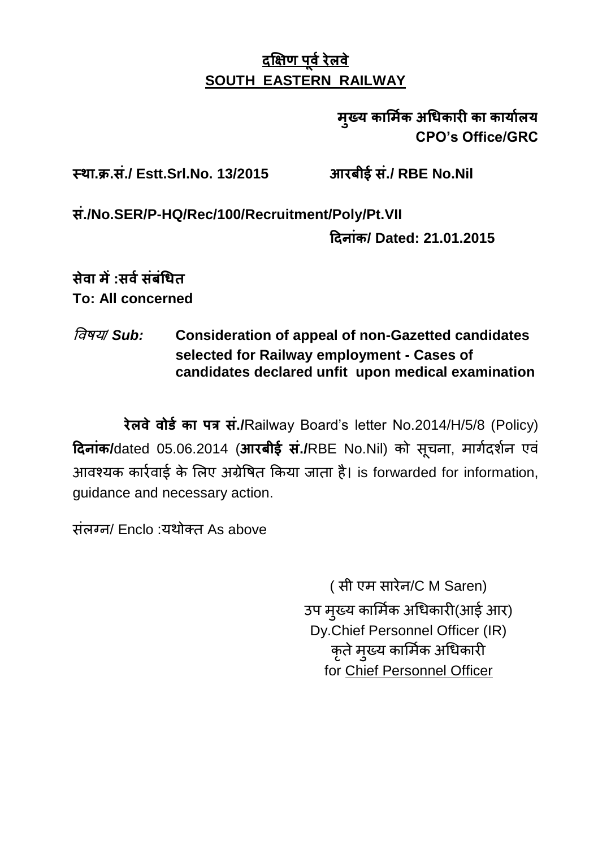### मुख्य कार्मिक अधिकारी का कार्यालय **CPO's Office/GRC**

 **. . ./ Estt.Srl.No. 13/2015 ./ RBE No.Nil** 

 **./No.SER/P-HQ/Rec/100/Recruitment/Poly/Pt.VII** 

 **/ Dated: 21.01.2015**

 **: To: All concerned**

### */ Sub:* **Consideration of appeal of non-Gazetted candidates selected for Railway employment - Cases of candidates declared unfit upon medical examination**

रेलवे वोर्ड का पत्र सं./Railway Board's letter No.2014/H/5/8 (Policy) Raiक/dated 05.06.2014 (आरबीई सं./RBE No.Nil) को सूचना, मार्गदर्शन एवं आवश्यक कार्रवाई के लिए अग्रेषित किया जाता है। is forwarded for information, guidance and necessary action.

ਸ਼ੋਕਰਗ/ Enclo :ਧੁੰਬੀਕਰ As above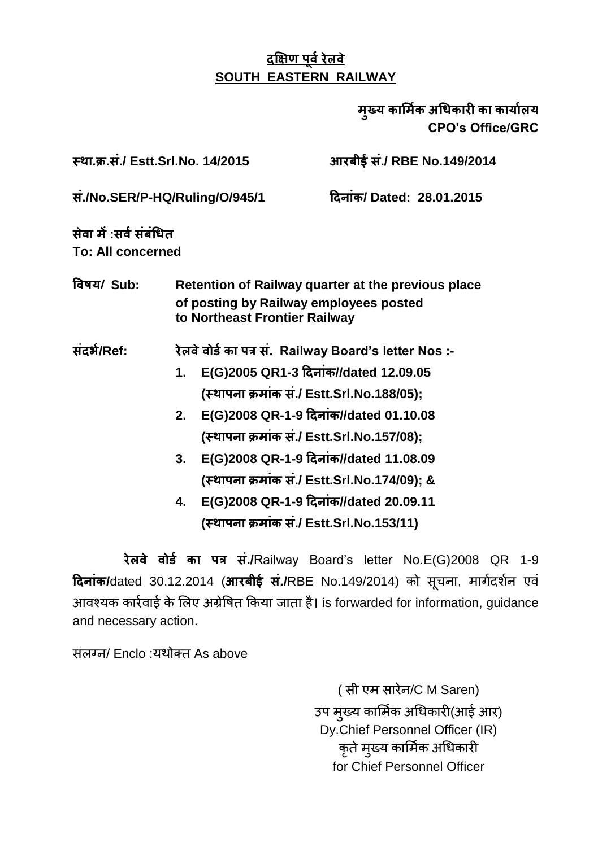मुख्य कार्मिक अधिकारी का कार्यालय **CPO's Office/GRC**

 **. . ./ Estt.Srl.No. 14/2015 ./ RBE No.149/2014** 

 **./No.SER/P-HQ/Ruling/O/945/1 / Dated: 28.01.2015**

 **: To: All concerned**

 **/ Sub: Retention of Railway quarter at the previous place of posting by Railway employees posted to Northeast Frontier Railway**

 **/Ref: . Railway Board's letter Nos :-**

- **1. E(G)2005 QR1-3 //dated 12.09.05 ( ./ Estt.Srl.No.188/05);**
- 2. **E(G)2008 QR-1-9 दिनांक//dated 01.10.08 ( ./ Estt.Srl.No.157/08);**
- 3. **E(G)2008 QR-1-9 दिनांक//dated 11.08.09 ( ./ Estt.Srl.No.174/09); &**
- 4. **E(G)2008 QR-1-9 दिनांक//dated 20.09.11 ( ./ Estt.Srl.No.153/11)**

रेलवे वोर्ड का पत्र सं./Railway Board's letter No.E(G)2008 QR 1-9 Raiक/dated 30.12.2014 (आरबीई सं./RBE No.149/2014) को सूचना, मार्गदर्शन एवं आवश्यक कार्रवाई के लिए अग्रेषित किया जाता है। is forwarded for information, guidance and necessary action.

ਸ਼ੋਕਾਰਗ/ Enclo : ਪਈਕੌਰ As above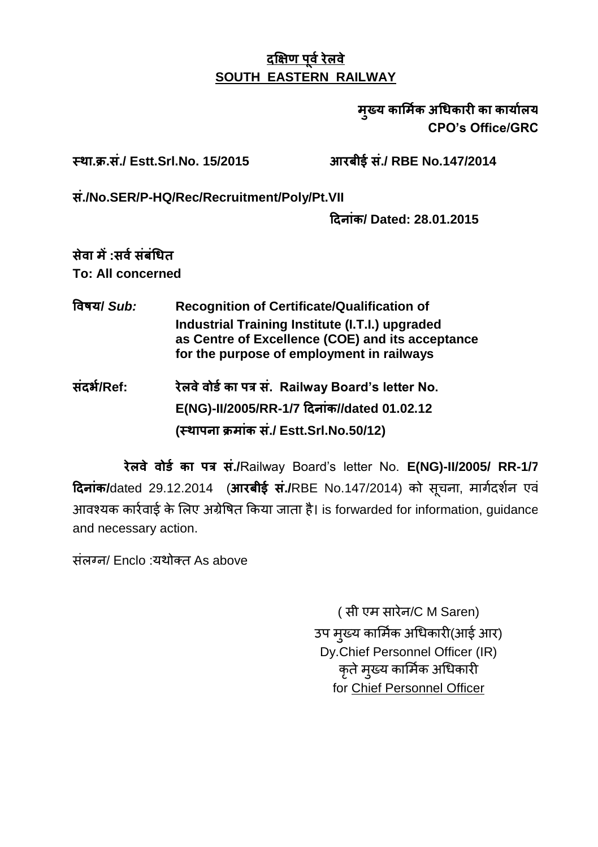#### मख्य कार्मिक अधिकारी का कार्यालय **CPO's Office/GRC**

 **. . ./ Estt.Srl.No. 15/2015 ./ RBE No.147/2014** 

 **./No.SER/P-HQ/Rec/Recruitment/Poly/Pt.VII** 

 **/ Dated: 28.01.2015**

 **: To: All concerned**

- **/** *Sub:* **Recognition of Certificate/Qualification of Industrial Training Institute (I.T.I.) upgraded as Centre of Excellence (COE) and its acceptance for the purpose of employment in railways**
- **/Ref: . Railway Board's letter No.**  $E(NG)$ -II/2005/RR-1/7 दिनांक//dated 01.02.12 **( ./ Estt.Srl.No.50/12)**

 **./**Railway Board"s letter No. **E(NG)-II/2005/ RR-1/7 दिनांक/**dated 29.12.2014 (आरबीई सं./RBE No.147/2014) को सचना, मार्गदर्शन एवं आवश्यक कार्रवाई के लिए अग्रेषित किया जाता है। is forwarded for information, guidance and necessary action.

संलग्न/ Enclo :यथोक्त As above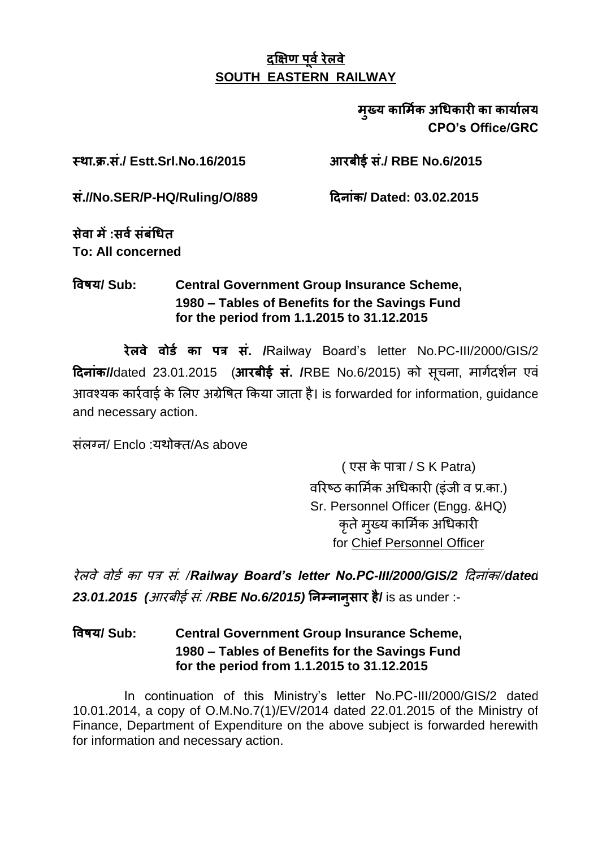मख्य कार्मिक अधिकारी का कार्यालय **CPO's Office/GRC**

 **. . ./ Estt.Srl.No.16/2015 ./ RBE No.6/2015** 

 **.//No.SER/P-HQ/Ruling/O/889 / Dated: 03.02.2015**

 **: To: All concerned**

#### **/ Sub: Central Government Group Insurance Scheme, 1980 – Tables of Benefits for the Savings Fund for the period from 1.1.2015 to 31.12.2015**

 **. /**Railway Board"s letter No.PC-III/2000/GIS/2 **दिनांक//**dated 23.01.2015 (आरबीई सं. /RBE No.6/2015) को सचना, मार्गदर्शन एवं आवश्यक कार्रवाई के लिए अग्रेषित किया जाता है। is forwarded for information, guidance and necessary action.

/ Enclo : /As above

( एस के पात्रा /  $S$  K Patra) वरिष्ठ कार्मिक अधिकारी (डंजी व प्र.का.) Sr. Personnel Officer (Engg. &HQ) कृते मुख्य कार्मिक अधिकारी for Chief Personnel Officer

 *. /Railway Board's letter No.PC-III/2000/GIS/2 //dated 23.01.2015 ( . /RBE No.6/2015)* **/** is as under :-

 **/ Sub: Central Government Group Insurance Scheme, 1980 – Tables of Benefits for the Savings Fund for the period from 1.1.2015 to 31.12.2015**

In continuation of this Ministry's letter No.PC-III/2000/GIS/2 dated 10.01.2014, a copy of O.M.No.7(1)/EV/2014 dated 22.01.2015 of the Ministry of Finance, Department of Expenditure on the above subject is forwarded herewith for information and necessary action.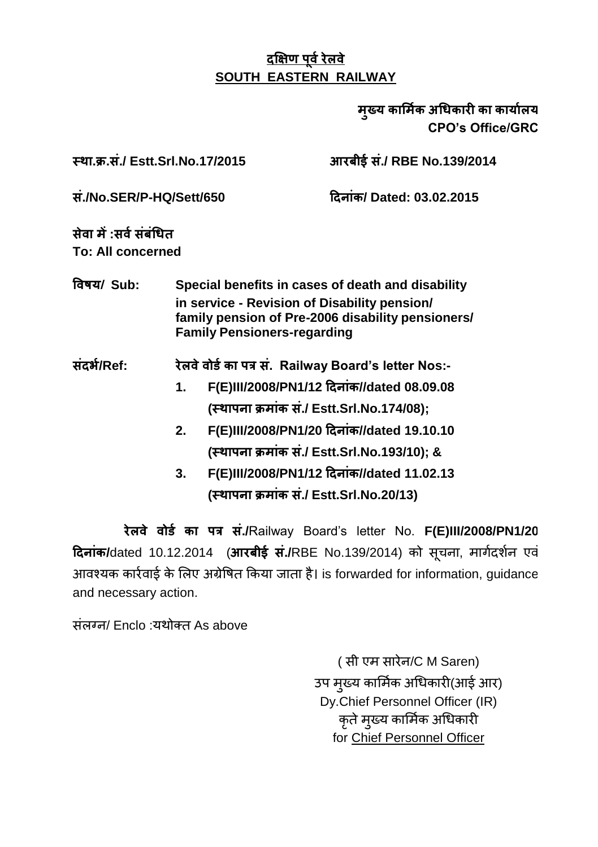मख्य कार्मिक अधिकारी का कार्यालय **CPO's Office/GRC**

 **. . ./ Estt.Srl.No.17/2015 ./ RBE No.139/2014** 

 **./No.SER/P-HQ/Sett/650 / Dated: 03.02.2015**

 **: To: All concerned**

 **/ Sub: Special benefits in cases of death and disability in service - Revision of Disability pension/ family pension of Pre-2006 disability pensioners/ Family Pensioners-regarding**

 **/Ref: . Railway Board's letter Nos:-**

- 1. **F(E)III/2008/PN1/12 दिनांक//dated 08.09.08 ( ./ Estt.Srl.No.174/08);**
- 2. **F(E)III/2008/PN1/20 दिनांक//dated 19.10.10 ( ./ Estt.Srl.No.193/10); &**
- 3. **F(E)III/2008/PN1/12 दिनांक//dated 11.02.13 ( ./ Estt.Srl.No.20/13)**

 **./**Railway Board"s letter No. **F(E)III/2008/PN1/20 दिनांक/**dated 10.12.2014 (आरबीई सं./RBE No.139/2014) को सचना, मार्गदर्शन एवं आवश्यक कार्रवाई के लिए अग्रेषित किया जाता है। is forwarded for information, guidance and necessary action.

ਸ਼ੰਕਸਜ਼/ Enclo ·ਬੰਬੀਕਰ As above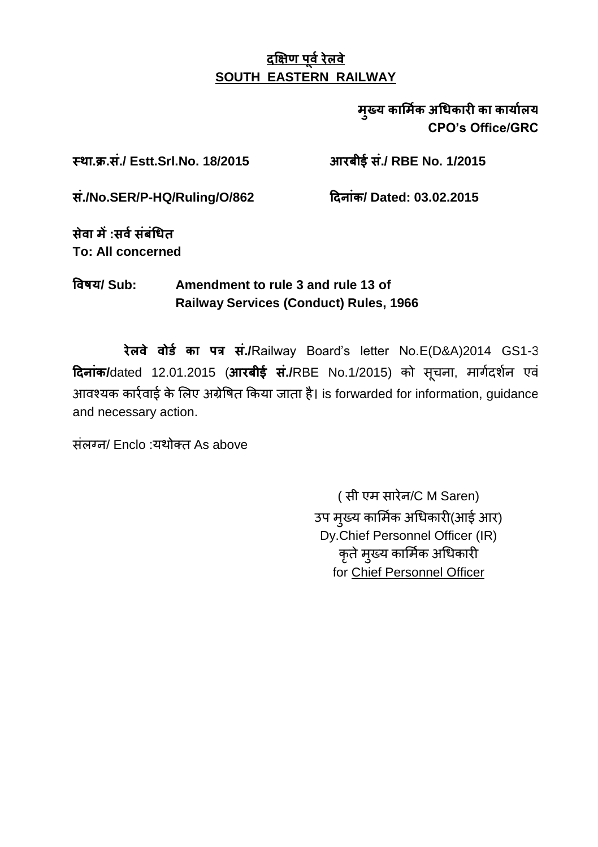#### मख्य कार्मिक अधिकारी का कार्यालय **CPO's Office/GRC**

 **. . ./ Estt.Srl.No. 18/2015 ./ RBE No. 1/2015** 

 **./No.SER/P-HQ/Ruling/O/862 / Dated: 03.02.2015**

 **: To: All concerned**

#### **/ Sub: Amendment to rule 3 and rule 13 of Railway Services (Conduct) Rules, 1966**

रेलवे वोर्ड का पत्र सं./Railway Board's letter No.E(D&A)2014 GS1-3 **दिनांक/**dated 12.01.2015 (आरबीई सं./RBE No.1/2015) को सचना, मार्गदर्शन एवं आवश्यक कार्रवाई के लिए अग्रेषित किया जाता है। is forwarded for information, guidance and necessary action.

ਸ਼ੋਕਾਰ / Fnclo : ਪਈਕੌਰ As above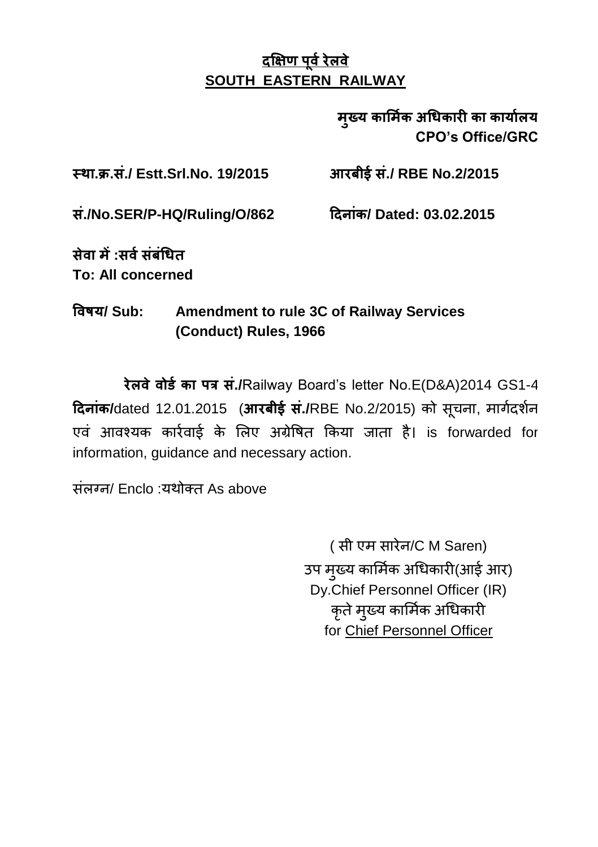म्ख्य कार्मिक अधिकारी का कार्यालय **CPO's Office/GRC**

 **. . ./ Estt.Srl.No. 19/2015 ./ RBE No.2/2015** 

 **./No.SER/P-HQ/Ruling/O/862 / Dated: 03.02.2015**

 **: To: All concerned**

### **/ Sub: Amendment to rule 3C of Railway Services (Conduct) Rules, 1966**

 **./**Railway Board"s letter No.E(D&A)2014 GS1-4 Raiक/dated 12.01.2015 (आरबीई सं./RBE No.2/2015) को सूचना, मार्गदर्शन एवं आवश्यक कार्रवाई के लिए अग्रेषित किया जाता है। is forwarded for information, guidance and necessary action.

ਸ਼ਂਕਰਜ/ Enclo :ਧੁੰਬੀਕਰ As above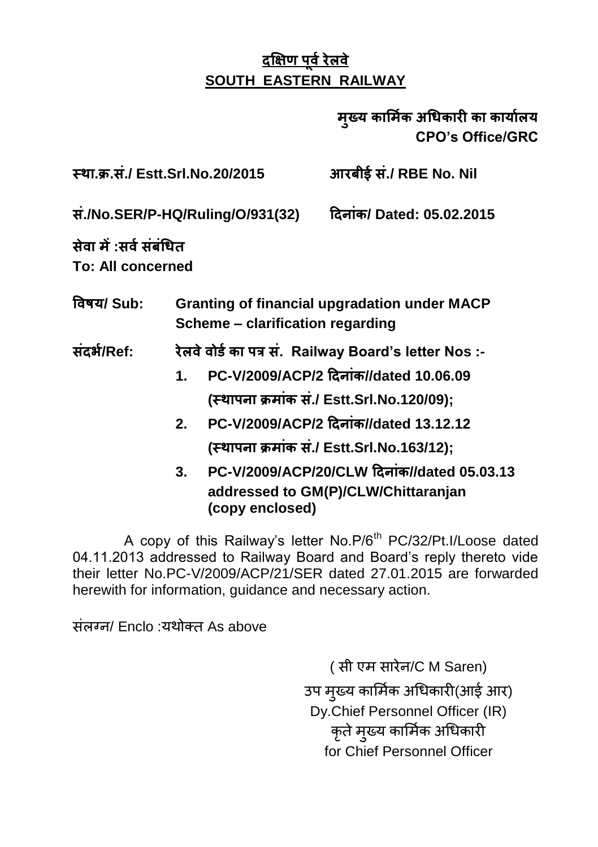### मुख्य कार्मिक अधिकारी का कार्यालय **CPO's Office/GRC**

 **. . ./ Estt.Srl.No.20/2015 ./ RBE No. Nil** 

 **./No.SER/P-HQ/Ruling/O/931(32) / Dated: 05.02.2015**

 **:** 

**To: All concerned**

 **/ Sub: Granting of financial upgradation under MACP Scheme – clarification regarding**

- **/Ref: . Railway Board's letter Nos :-**
	- **1. PC-V/2009/ACP/2 //dated 10.06.09 ( ./ Estt.Srl.No.120/09);**
	- **2. PC-V/2009/ACP/2 //dated 13.12.12 ( ./ Estt.Srl.No.163/12);**
	- **3. PC-V/2009/ACP/20/CLW //dated 05.03.13 addressed to GM(P)/CLW/Chittaranjan (copy enclosed)**

A copy of this Railway's letter No.P/6<sup>th</sup> PC/32/Pt.I/Loose dated 04.11.2013 addressed to Railway Board and Board"s reply thereto vide their letter No.PC-V/2009/ACP/21/SER dated 27.01.2015 are forwarded herewith for information, guidance and necessary action.

ਸ਼ੋਕਾਰਗ/ Enclo : ਪਈਕਾਰ As above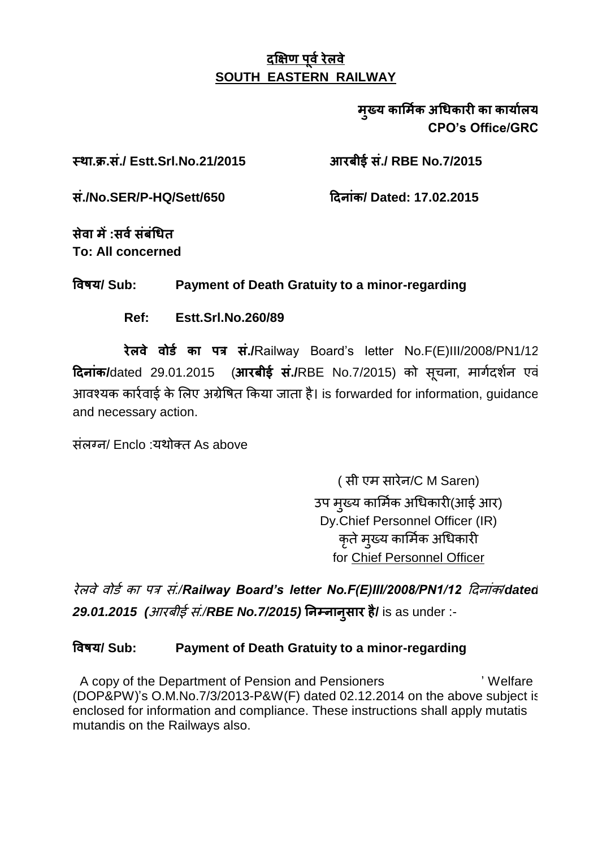#### मख्य कार्मिक अधिकारी का कार्यालय **CPO's Office/GRC**

 **. . ./ Estt.Srl.No.21/2015 ./ RBE No.7/2015** 

 **./No.SER/P-HQ/Sett/650 / Dated: 17.02.2015**

 **: To: All concerned**

 **/ Sub: Payment of Death Gratuity to a minor-regarding**

**Ref: Estt.Srl.No.260/89**

 **./**Railway Board"s letter No.F(E)III/2008/PN1/12 **दिनांक/**dated 29.01.2015 (आरबीई सं./RBE No.7/2015) को सचना, मार्गदर्शन एवं आवश्यक कार्रवाई के लिए अग्रेषित किया जाता है। is forwarded for information, quidance and necessary action.

ਸ਼ਂਕਾਰਜ/ Enclo : ਪੁੰਬੀਕਾਰ As above

(सी एम सारेन/C M Saren) उप मुख्य कार्मिक अधिकारी(आई आर) Dy.Chief Personnel Officer (IR) कते मुख्य कार्मिक अधिकारी for Chief Personnel Officer

 *./Railway Board's letter No.F(E)III/2008/PN1/12 /dated 29.01.2015 ( ./RBE No.7/2015)* **/** is as under :-

#### **/ Sub: Payment of Death Gratuity to a minor-regarding**

 A copy of the Department of Pension and Pensioners ' Welfare (DOP&PW)'s O.M.No.7/3/2013-P&W(F) dated 02.12.2014 on the above subject is enclosed for information and compliance. These instructions shall apply mutatis mutandis on the Railways also.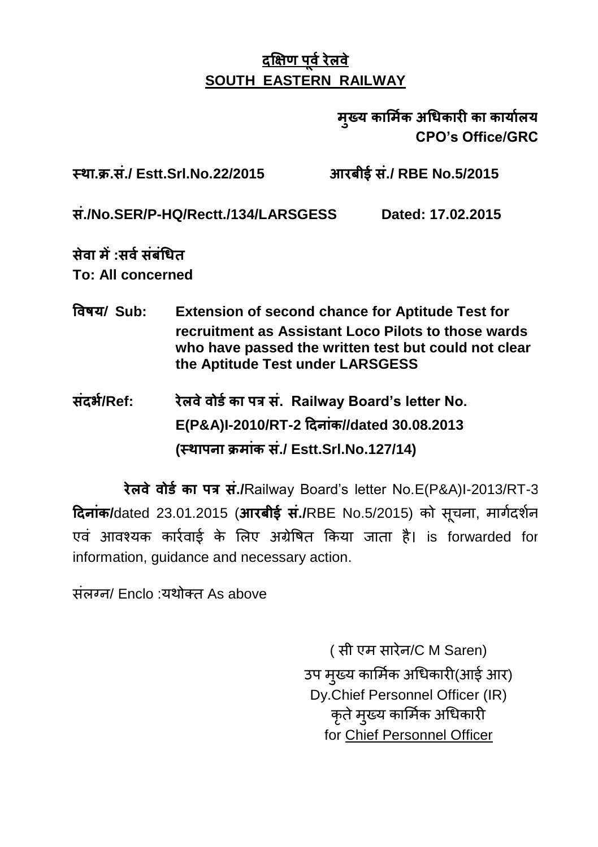मृख्य कार्मिक अधिकारी का कार्यालय **CPO's Office/GRC**

 **. . ./ Estt.Srl.No.22/2015 ./ RBE No.5/2015** 

 **./No.SER/P-HQ/Rectt./134/LARSGESS Dated: 17.02.2015**

 **: To: All concerned**

- **/ Sub: Extension of second chance for Aptitude Test for recruitment as Assistant Loco Pilots to those wards who have passed the written test but could not clear the Aptitude Test under LARSGESS**
- **/Ref: . Railway Board's letter No. E(P&A)I-2010/RT-2 //dated 30.08.2013 ( ./ Estt.Srl.No.127/14)**

रेलवे वोर्ड का पत्र सं./Railway Board's letter No.E(P&A)I-2013/RT-3 Rain /dated 23.01.2015 (आरबीई सं./RBE No.5/2015) को सूचना, मार्गदर्शन एवं आवश्यक कार्रवार्ड के लिए अग्रेषित किया जाता है। is forwarded for information, guidance and necessary action.

ਸ਼ਂਕਰਜ਼/ Enclo :ਧੁੰਬੀਕਰ As above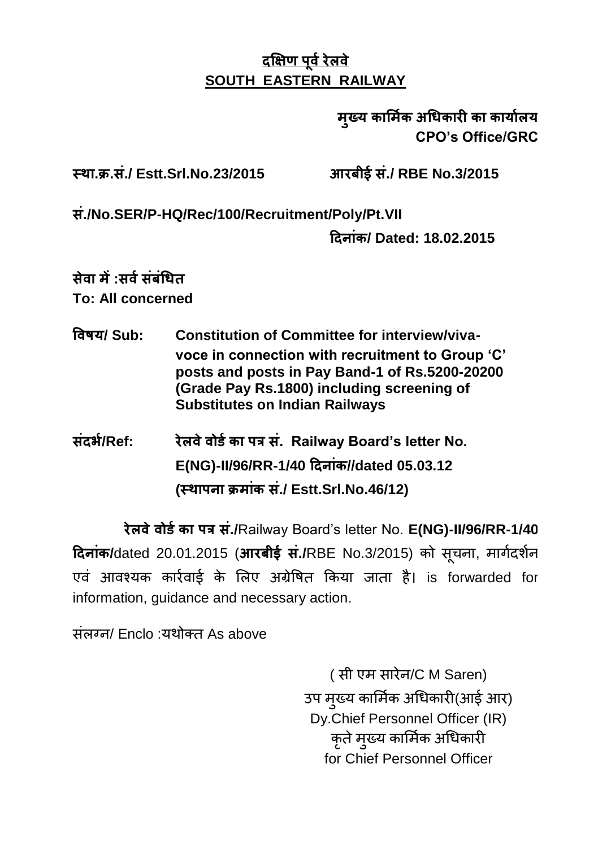### मुख्य कार्मिक अधिकारी का कार्यालय **CPO's Office/GRC**

 **. . ./ Estt.Srl.No.23/2015 ./ RBE No.3/2015** 

 **./No.SER/P-HQ/Rec/100/Recruitment/Poly/Pt.VII** 

 **/ Dated: 18.02.2015**

# **:**

**To: All concerned**

- **/ Sub: Constitution of Committee for interview/vivavoce in connection with recruitment to Group 'C' posts and posts in Pay Band-1 of Rs.5200-20200 (Grade Pay Rs.1800) including screening of Substitutes on Indian Railways**
- **/Ref: . Railway Board's letter No. E(NG)-II/96/RR-1/40 //dated 05.03.12 ( ./ Estt.Srl.No.46/12)**

 **./**Railway Board"s letter No. **E(NG)-II/96/RR-1/40 दिनांक/**dated 20.01.2015 (आरबीई सं./RBE No.3/2015) को सूचना, मार्गदर्शन एवं आवश्यक कार्रवार्ड के लिए अग्रेषित किया जाता है। is forwarded for information, guidance and necessary action.

ਸ਼ੋਕਾਰਗ/ Enclo :ਧੁੰਘੇਕਰ As above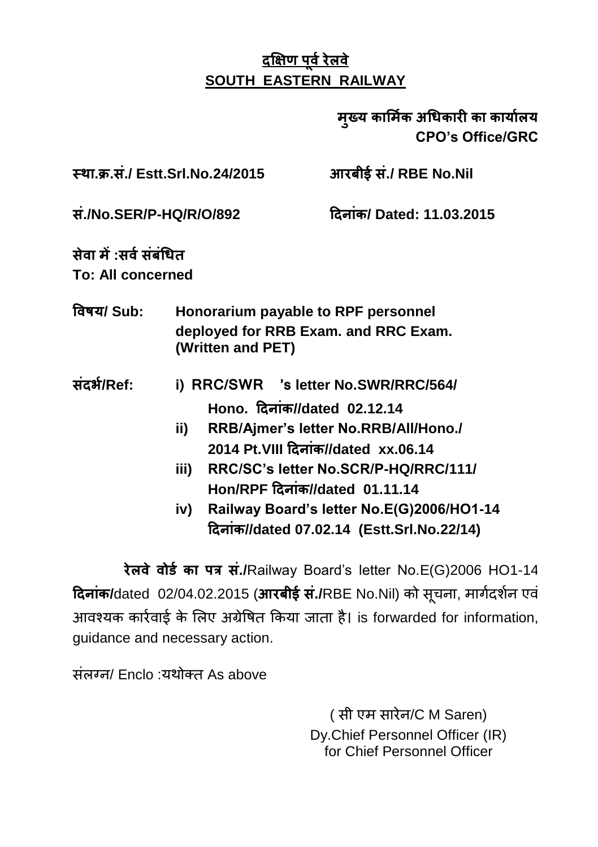मुख्य कार्मिक अधिकारी का कार्यालय **CPO's Office/GRC**

 **. . ./ Estt.Srl.No.24/2015 ./ RBE No.Nil** 

 **./No.SER/P-HQ/R/O/892 / Dated: 11.03.2015**

 **: To: All concerned**

- **/ Sub: Honorarium payable to RPF personnel deployed for RRB Exam. and RRC Exam. (Written and PET)**
- **/Ref: i) RRC/SWR 's letter No.SWR/RRC/564/ Hono. दिनांक//dated 02.12.14** 
	- **ii) RRB/Ajmer's letter No.RRB/All/Hono./** 2014 Pt. VIII दिनांक//dated xx.06.14
	- **iii) RRC/SC's letter No.SCR/P-HQ/RRC/111/ Hon/RPF दिनांक//dated 01.11.14**
	- **iv) Railway Board's letter No.E(G)2006/HO1-14 //dated 07.02.14 (Estt.Srl.No.22/14)**

रेलवे वोर्ड का पत्र सं./Railway Board's letter No.E(G)2006 HO1-14 **दिनांक/**dated 02/04.02.2015 (आरबीई सं./RBE No.Nil) को सचना, मार्गदर्शन एवं आवश्यक कार्रवाई के लिए अग्रेषित किया जाता है। is forwarded for information, guidance and necessary action.

ਸ਼ੋਕਾਰਗ/ Enclo : ਪਈਕਾਰ As above

(सी एम सारेन/C M Saren) Dy.Chief Personnel Officer (IR) for Chief Personnel Officer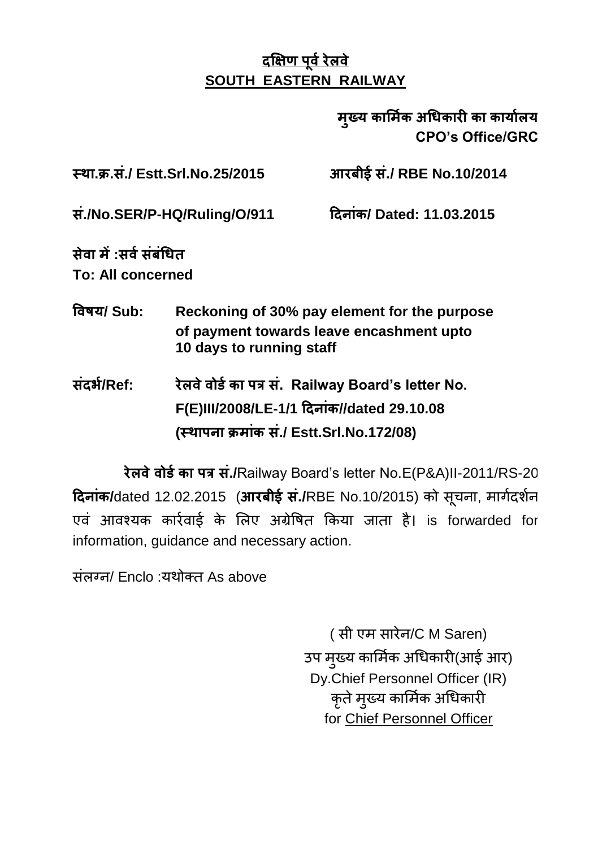### मुख्य कार्मिक अधिकारी का कार्यालय **CPO's Office/GRC**

 **. . ./ Estt.Srl.No.25/2015 ./ RBE No.10/2014** 

 **./No.SER/P-HQ/Ruling/O/911 / Dated: 11.03.2015**

 **: To: All concerned**

- **/ Sub: Reckoning of 30% pay element for the purpose of payment towards leave encashment upto 10 days to running staff**
- **/Ref: . Railway Board's letter No.**  $F(E)$ III/2008/LE-1/1 दिनांक//dated 29.10.08 **( ./ Estt.Srl.No.172/08)**

 **./**Railway Board"s letter No.E(P&A)II-2011/RS-20 **दिनांक/**dated 12.02.2015 (आरबीई सं./RBE No.10/2015) को सूचना, मार्गदर्शन एवं आवश्यक कार्रवाई के लिए अग्रेषित किया जाता है। is forwarded for information, guidance and necessary action.

संलग्न/ Enclo :यथोक्त As above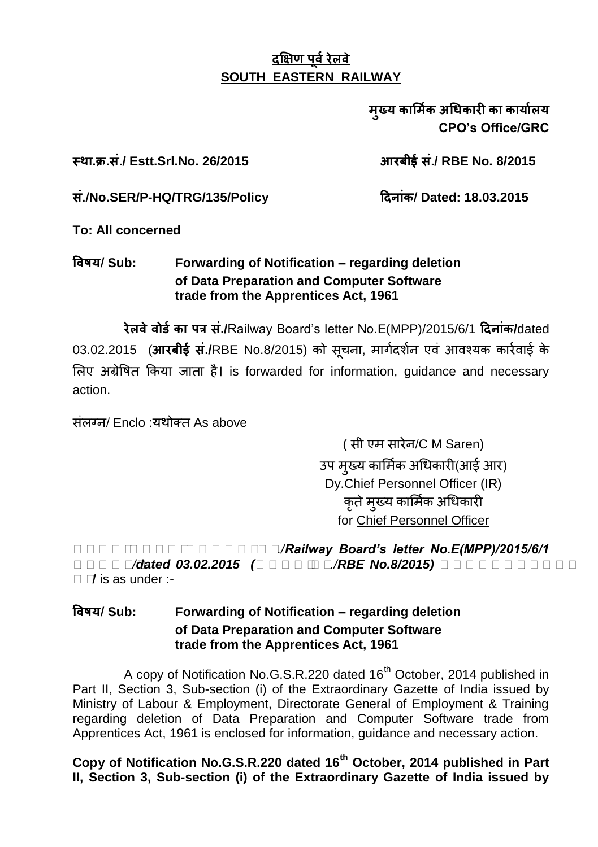मख्य कार्मिक अधिकारी का कार्यालय **CPO's Office/GRC**

 **. . ./ Estt.Srl.No. 26/2015 ./ RBE No. 8/2015** 

 **./No.SER/P-HQ/TRG/135/Policy / Dated: 18.03.2015**

**To: All concerned**

#### **/ Sub: Forwarding of Notification – regarding deletion of Data Preparation and Computer Software trade from the Apprentices Act, 1961**

 **./**Railway Board"s letter No.E(MPP)/2015/6/1 **/**dated 03.02.2015 (आरबीई सं./RBE No.8/2015) को सूचना, मार्गदर्शन एवं आवश्यक कार्रवाई के लिए अंग्रेषित किया जाता है। is forwarded for information, quidance and necessary action.

ਸ਼ੰਕਾਰਜ/ Enclo : ਪਈਕੌਰ As above

(सी एम सारेन/C M Saren) उप मुख्य कार्मिक अधिकारी(आई आर) Dy.Chief Personnel Officer (IR) .<br>कते मख्य कार्मिक अधिकारी for Chief Personnel Officer

*रररररररररररररररररर./Railway Board's letter No.E(MPP)/2015/6/1 रररररर/dated 03.02.2015 (ररररररर./RBE No.8/2015)* **ननननननननननन नन/** is as under :-

#### **/ Sub: Forwarding of Notification – regarding deletion of Data Preparation and Computer Software trade from the Apprentices Act, 1961**

A copy of Notification No.G.S.R.220 dated 16<sup>th</sup> October, 2014 published in Part II, Section 3, Sub-section (i) of the Extraordinary Gazette of India issued by Ministry of Labour & Employment, Directorate General of Employment & Training regarding deletion of Data Preparation and Computer Software trade from Apprentices Act, 1961 is enclosed for information, guidance and necessary action.

**Copy of Notification No.G.S.R.220 dated 16th October, 2014 published in Part II, Section 3, Sub-section (i) of the Extraordinary Gazette of India issued by**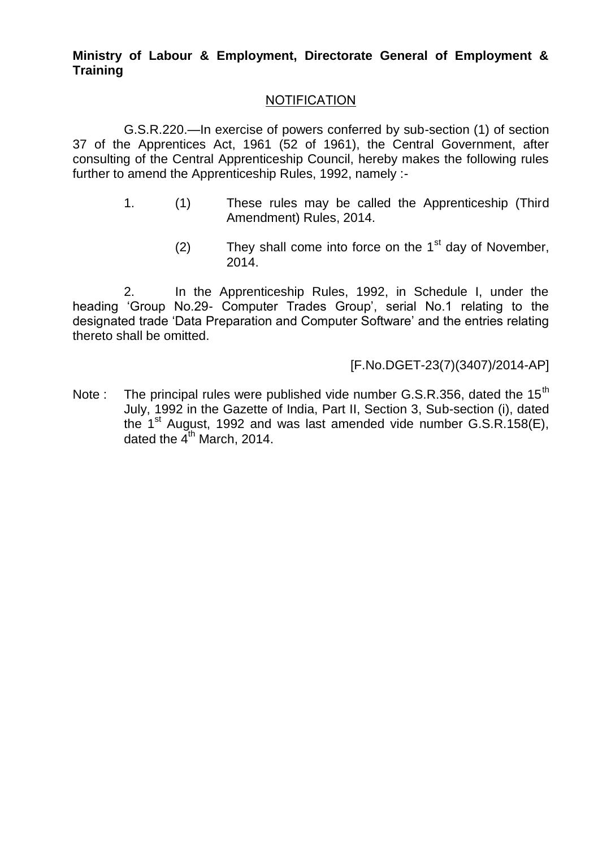#### **Ministry of Labour & Employment, Directorate General of Employment & Training**

#### **NOTIFICATION**

G.S.R.220.—In exercise of powers conferred by sub-section (1) of section 37 of the Apprentices Act, 1961 (52 of 1961), the Central Government, after consulting of the Central Apprenticeship Council, hereby makes the following rules further to amend the Apprenticeship Rules, 1992, namely :-

- 1. (1) These rules may be called the Apprenticeship (Third Amendment) Rules, 2014.
	- (2) They shall come into force on the  $1<sup>st</sup>$  day of November, 2014.

2. In the Apprenticeship Rules, 1992, in Schedule I, under the heading "Group No.29- Computer Trades Group", serial No.1 relating to the designated trade "Data Preparation and Computer Software" and the entries relating thereto shall be omitted.

[F.No.DGET-23(7)(3407)/2014-AP]

Note : The principal rules were published vide number G.S.R.356, dated the 15<sup>th</sup> July, 1992 in the Gazette of India, Part II, Section 3, Sub-section (i), dated the  $1<sup>st</sup>$  August, 1992 and was last amended vide number G.S.R.158(E), dated the  $4<sup>th</sup>$  March, 2014.